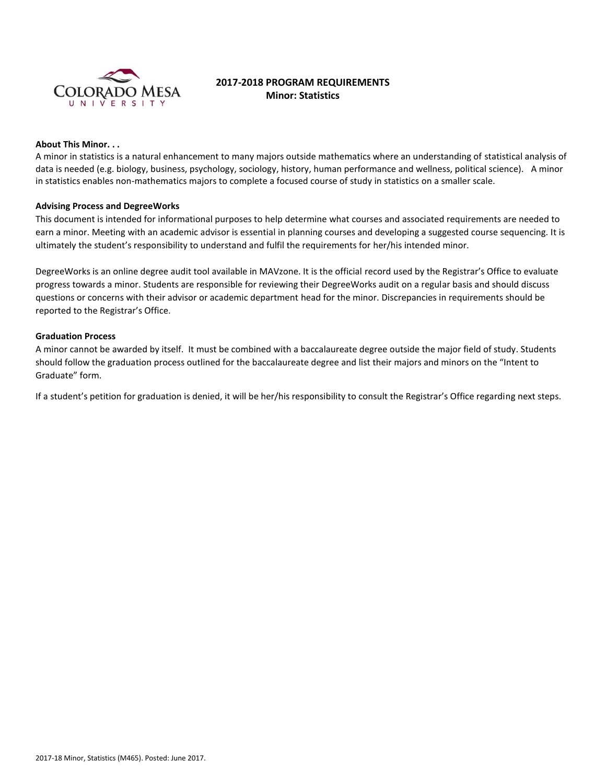

# **2017-2018 PROGRAM REQUIREMENTS Minor: Statistics**

# **About This Minor. . .**

A minor in statistics is a natural enhancement to many majors outside mathematics where an understanding of statistical analysis of data is needed (e.g. biology, business, psychology, sociology, history, human performance and wellness, political science). A minor in statistics enables non-mathematics majors to complete a focused course of study in statistics on a smaller scale.

#### **Advising Process and DegreeWorks**

This document is intended for informational purposes to help determine what courses and associated requirements are needed to earn a minor. Meeting with an academic advisor is essential in planning courses and developing a suggested course sequencing. It is ultimately the student's responsibility to understand and fulfil the requirements for her/his intended minor.

DegreeWorks is an online degree audit tool available in MAVzone. It is the official record used by the Registrar's Office to evaluate progress towards a minor. Students are responsible for reviewing their DegreeWorks audit on a regular basis and should discuss questions or concerns with their advisor or academic department head for the minor. Discrepancies in requirements should be reported to the Registrar's Office.

#### **Graduation Process**

A minor cannot be awarded by itself. It must be combined with a baccalaureate degree outside the major field of study. Students should follow the graduation process outlined for the baccalaureate degree and list their majors and minors on the "Intent to Graduate" form.

If a student's petition for graduation is denied, it will be her/his responsibility to consult the Registrar's Office regarding next steps.